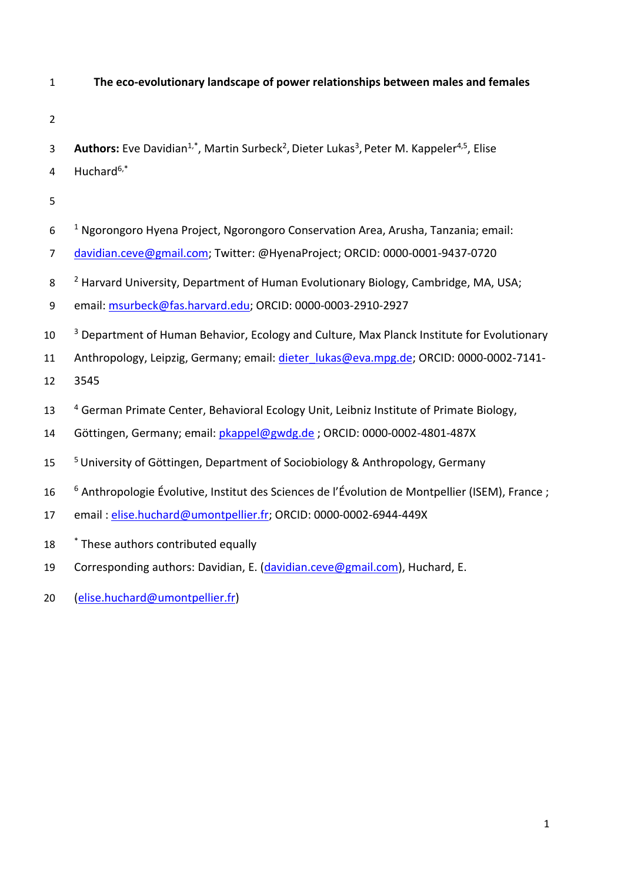- 1 **The eco-evolutionary landscape of power relationships between males and females**
- 2
- 3 **Authors:** Eve Davidian<sup>1,\*</sup>, Martin Surbeck<sup>2</sup>, Dieter Lukas<sup>3</sup>, Peter M. Kappeler<sup>4,5</sup>, Elise
- 4 Huchard $6,*$
- 5
- $10^{-1}$  Ngorongoro Hyena Project, Ngorongoro Conservation Area, Arusha, Tanzania; email:
- 7 [davidian.ceve@gmail.com;](mailto:davidian.ceve@gmail.com) Twitter: @HyenaProject; ORCID: 0000-0001-9437-0720
- 8 <sup>2</sup> Harvard University, Department of Human Evolutionary Biology, Cambridge, MA, USA;
- 9 email: [msurbeck@fas.harvard.edu;](mailto:msurbeck@fas.harvard.edu) ORCID: 0000-0003-2910-2927
- <sup>3</sup> Department of Human Behavior, Ecology and Culture, Max Planck Institute for Evolutionary
- 11 Anthropology, Leipzig, Germany; email: *dieter lukas@eva.mpg.de*; ORCID: 0000-0002-7141-
- 12 3545
- 13 <sup>4</sup> German Primate Center, Behavioral Ecology Unit, Leibniz Institute of Primate Biology,
- 14 Göttingen, Germany; email: [pkappel@gwdg.de](mailto:pkappel@gwdg.de) ; ORCID: 0000-0002-4801-487X
- <sup>5</sup> 15 University of Göttingen, Department of Sociobiology & Anthropology, Germany
- <sup>6</sup> 16 Anthropologie Évolutive, Institut des Sciences de l'Évolution de Montpellier (ISEM), France ;
- 17 email : [elise.huchard@umontpellier.fr;](mailto:elise.huchard@umontpellier.fr) ORCID: 0000-0002-6944-449X
- 18 <sup>\*</sup> These authors contributed equally
- 19 Corresponding authors: Davidian, E. [\(davidian.ceve@gmail.com\)](mailto:davidian.ceve@gmail.com), Huchard, E.
- 20 [\(elise.huchard@umontpellier.fr\)](mailto:elise.huchard@umontpellier.fr)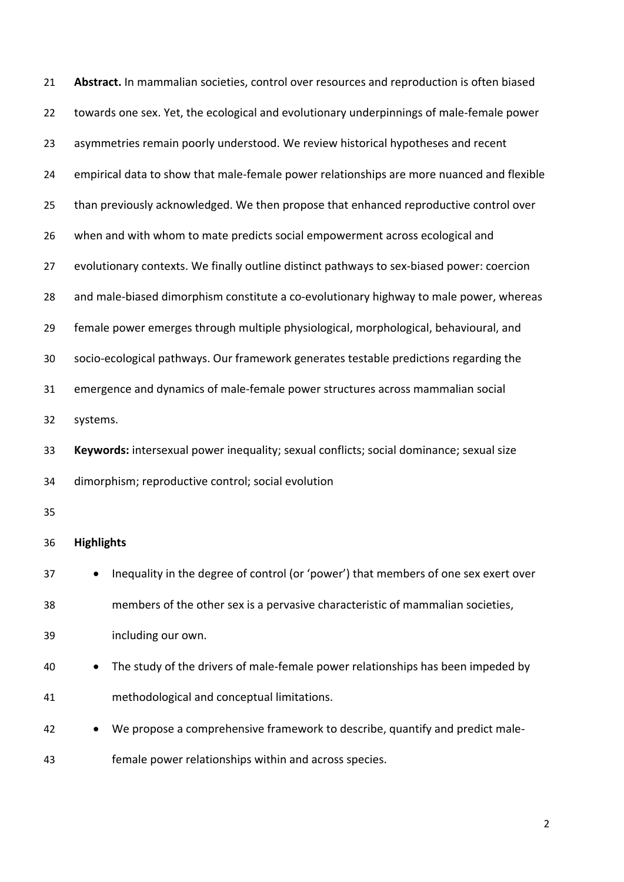| 21 | Abstract. In mammalian societies, control over resources and reproduction is often biased |
|----|-------------------------------------------------------------------------------------------|
| 22 | towards one sex. Yet, the ecological and evolutionary underpinnings of male-female power  |
| 23 | asymmetries remain poorly understood. We review historical hypotheses and recent          |
| 24 | empirical data to show that male-female power relationships are more nuanced and flexible |
| 25 | than previously acknowledged. We then propose that enhanced reproductive control over     |
| 26 | when and with whom to mate predicts social empowerment across ecological and              |
| 27 | evolutionary contexts. We finally outline distinct pathways to sex-biased power: coercion |
| 28 | and male-biased dimorphism constitute a co-evolutionary highway to male power, whereas    |
| 29 | female power emerges through multiple physiological, morphological, behavioural, and      |
| 30 | socio-ecological pathways. Our framework generates testable predictions regarding the     |
| 31 | emergence and dynamics of male-female power structures across mammalian social            |
| 32 | systems.                                                                                  |
| 33 | Keywords: intersexual power inequality; sexual conflicts; social dominance; sexual size   |
| 34 | dimorphism; reproductive control; social evolution                                        |
| 35 |                                                                                           |
| 36 | <b>Highlights</b>                                                                         |
| 37 | Inequality in the degree of control (or 'power') that members of one sex exert over       |
| 38 | members of the other sex is a pervasive characteristic of mammalian societies,            |
| 39 | including our own.                                                                        |
| 40 | The study of the drivers of male-female power relationships has been impeded by           |
| 41 | methodological and conceptual limitations.                                                |
| 42 | We propose a comprehensive framework to describe, quantify and predict male-              |
| 43 | female power relationships within and across species.                                     |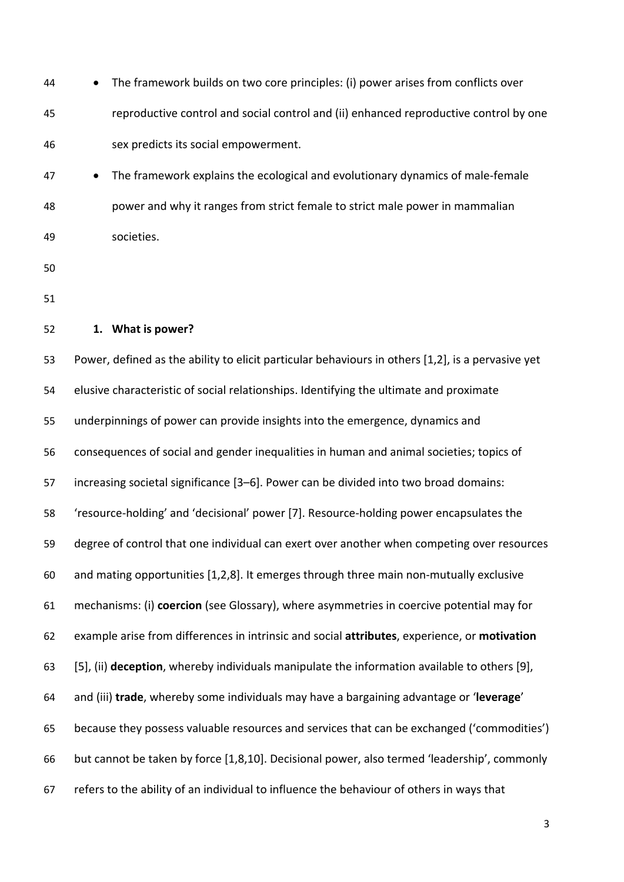| 44 | The framework builds on two core principles: (i) power arises from conflicts over                 |
|----|---------------------------------------------------------------------------------------------------|
| 45 | reproductive control and social control and (ii) enhanced reproductive control by one             |
| 46 | sex predicts its social empowerment.                                                              |
| 47 | The framework explains the ecological and evolutionary dynamics of male-female<br>$\bullet$       |
| 48 | power and why it ranges from strict female to strict male power in mammalian                      |
| 49 | societies.                                                                                        |
| 50 |                                                                                                   |
| 51 |                                                                                                   |
| 52 | 1. What is power?                                                                                 |
| 53 | Power, defined as the ability to elicit particular behaviours in others [1,2], is a pervasive yet |
| 54 | elusive characteristic of social relationships. Identifying the ultimate and proximate            |
| 55 | underpinnings of power can provide insights into the emergence, dynamics and                      |
| 56 | consequences of social and gender inequalities in human and animal societies; topics of           |
| 57 | increasing societal significance [3-6]. Power can be divided into two broad domains:              |
| 58 | 'resource-holding' and 'decisional' power [7]. Resource-holding power encapsulates the            |
| 59 | degree of control that one individual can exert over another when competing over resources        |
| 60 | and mating opportunities [1,2,8]. It emerges through three main non-mutually exclusive            |
| 61 | mechanisms: (i) coercion (see Glossary), where asymmetries in coercive potential may for          |
| 62 | example arise from differences in intrinsic and social attributes, experience, or motivation      |
| 63 | [5], (ii) deception, whereby individuals manipulate the information available to others [9],      |
| 64 | and (iii) trade, whereby some individuals may have a bargaining advantage or 'leverage'           |
| 65 | because they possess valuable resources and services that can be exchanged ('commodities')        |
| 66 | but cannot be taken by force [1,8,10]. Decisional power, also termed 'leadership', commonly       |
| 67 | refers to the ability of an individual to influence the behaviour of others in ways that          |
|    |                                                                                                   |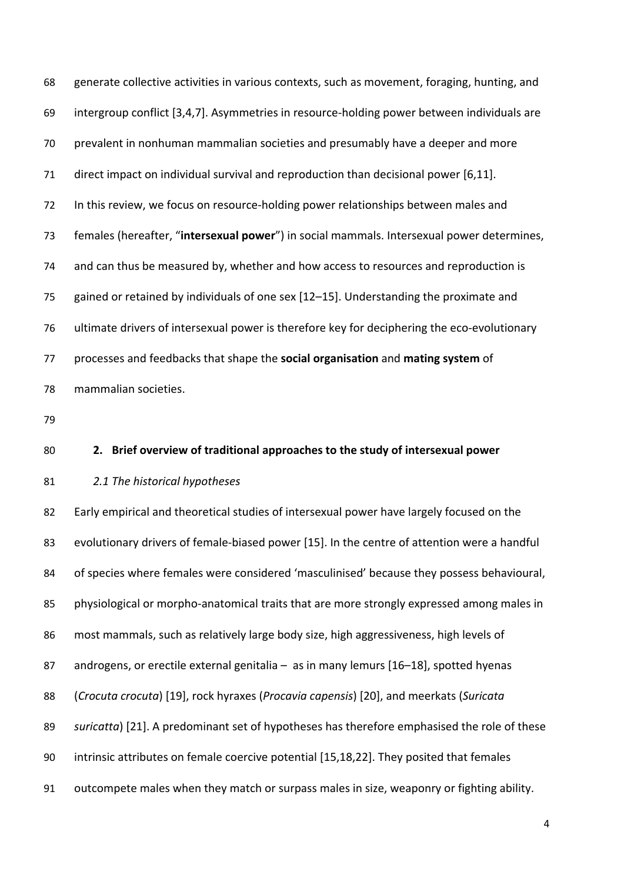generate collective activities in various contexts, such as movement, foraging, hunting, and intergroup conflict [3,4,7]. Asymmetries in resource-holding power between individuals are prevalent in nonhuman mammalian societies and presumably have a deeper and more direct impact on individual survival and reproduction than decisional power [6,11]. In this review, we focus on resource-holding power relationships between males and females (hereafter, "**intersexual power**") in social mammals. Intersexual power determines, and can thus be measured by, whether and how access to resources and reproduction is gained or retained by individuals of one sex [12–15]. Understanding the proximate and ultimate drivers of intersexual power is therefore key for deciphering the eco-evolutionary processes and feedbacks that shape the **social organisation** and **mating system** of mammalian societies.

# **2. Brief overview of traditional approaches to the study of intersexual power**

## *2.1 The historical hypotheses*

 Early empirical and theoretical studies of intersexual power have largely focused on the evolutionary drivers of female-biased power [15]. In the centre of attention were a handful of species where females were considered 'masculinised' because they possess behavioural, 85 physiological or morpho-anatomical traits that are more strongly expressed among males in most mammals, such as relatively large body size, high aggressiveness, high levels of 87 androgens, or erectile external genitalia - as in many lemurs [16-18], spotted hyenas (*Crocuta crocuta*) [19], rock hyraxes (*Procavia capensis*) [20], and meerkats (*Suricata suricatta*) [21]. A predominant set of hypotheses has therefore emphasised the role of these intrinsic attributes on female coercive potential [15,18,22]. They posited that females outcompete males when they match or surpass males in size, weaponry or fighting ability.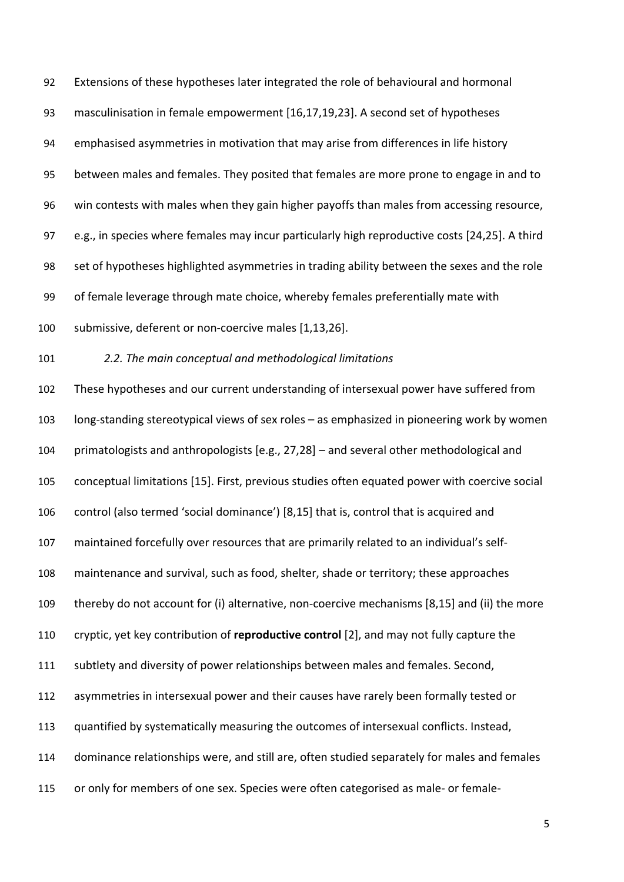Extensions of these hypotheses later integrated the role of behavioural and hormonal masculinisation in female empowerment [16,17,19,23]. A second set of hypotheses emphasised asymmetries in motivation that may arise from differences in life history between males and females. They posited that females are more prone to engage in and to win contests with males when they gain higher payoffs than males from accessing resource, e.g., in species where females may incur particularly high reproductive costs [24,25]. A third set of hypotheses highlighted asymmetries in trading ability between the sexes and the role of female leverage through mate choice, whereby females preferentially mate with submissive, deferent or non-coercive males [1,13,26].

# *2.2. The main conceptual and methodological limitations*

 These hypotheses and our current understanding of intersexual power have suffered from long-standing stereotypical views of sex roles – as emphasized in pioneering work by women primatologists and anthropologists [e.g., 27,28] – and several other methodological and conceptual limitations [15]. First, previous studies often equated power with coercive social control (also termed 'social dominance') [8,15] that is, control that is acquired and maintained forcefully over resources that are primarily related to an individual's self- maintenance and survival, such as food, shelter, shade or territory; these approaches thereby do not account for (i) alternative, non-coercive mechanisms [8,15] and (ii) the more cryptic, yet key contribution of **reproductive control** [2], and may not fully capture the subtlety and diversity of power relationships between males and females. Second, asymmetries in intersexual power and their causes have rarely been formally tested or quantified by systematically measuring the outcomes of intersexual conflicts. Instead, dominance relationships were, and still are, often studied separately for males and females

or only for members of one sex. Species were often categorised as male- or female-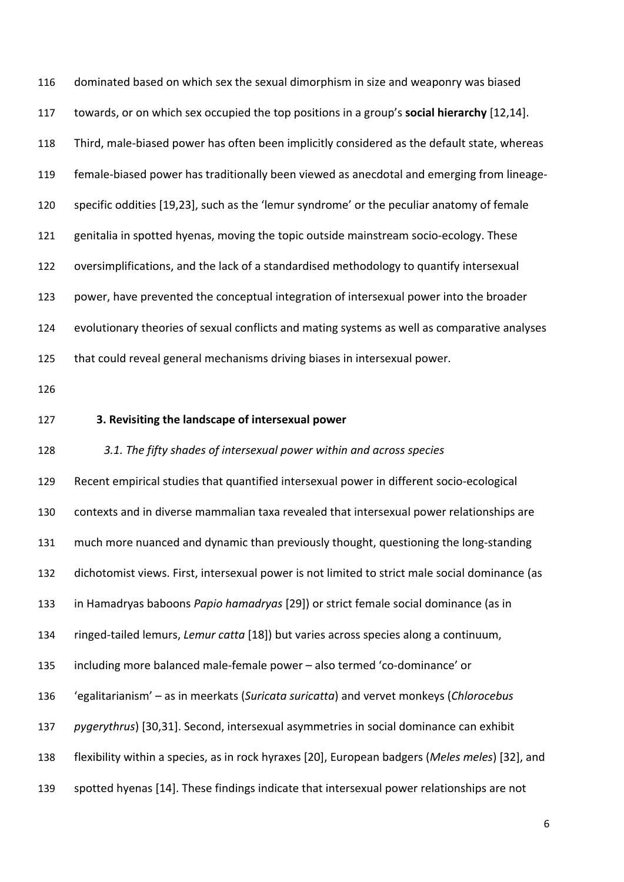dominated based on which sex the sexual dimorphism in size and weaponry was biased towards, or on which sex occupied the top positions in a group's **social hierarchy** [12,14]. Third, male-biased power has often been implicitly considered as the default state, whereas female-biased power has traditionally been viewed as anecdotal and emerging from lineage- specific oddities [19,23], such as the 'lemur syndrome' or the peculiar anatomy of female genitalia in spotted hyenas, moving the topic outside mainstream socio-ecology. These oversimplifications, and the lack of a standardised methodology to quantify intersexual power, have prevented the conceptual integration of intersexual power into the broader evolutionary theories of sexual conflicts and mating systems as well as comparative analyses that could reveal general mechanisms driving biases in intersexual power.

# **3. Revisiting the landscape of intersexual power**

### *3.1. The fifty shades of intersexual power within and across species*

 Recent empirical studies that quantified intersexual power in different socio-ecological contexts and in diverse mammalian taxa revealed that intersexual power relationships are much more nuanced and dynamic than previously thought, questioning the long-standing dichotomist views. First, intersexual power is not limited to strict male social dominance (as in Hamadryas baboons *Papio hamadryas* [29]) or strict female social dominance (as in ringed-tailed lemurs, *Lemur catta* [18]) but varies across species along a continuum, including more balanced male-female power – also termed 'co-dominance' or 'egalitarianism' – as in meerkats (*Suricata suricatta*) and vervet monkeys (*Chlorocebus pygerythrus*) [30,31]. Second, intersexual asymmetries in social dominance can exhibit flexibility within a species, as in rock hyraxes [20], European badgers (*Meles meles*) [32], and spotted hyenas [14]. These findings indicate that intersexual power relationships are not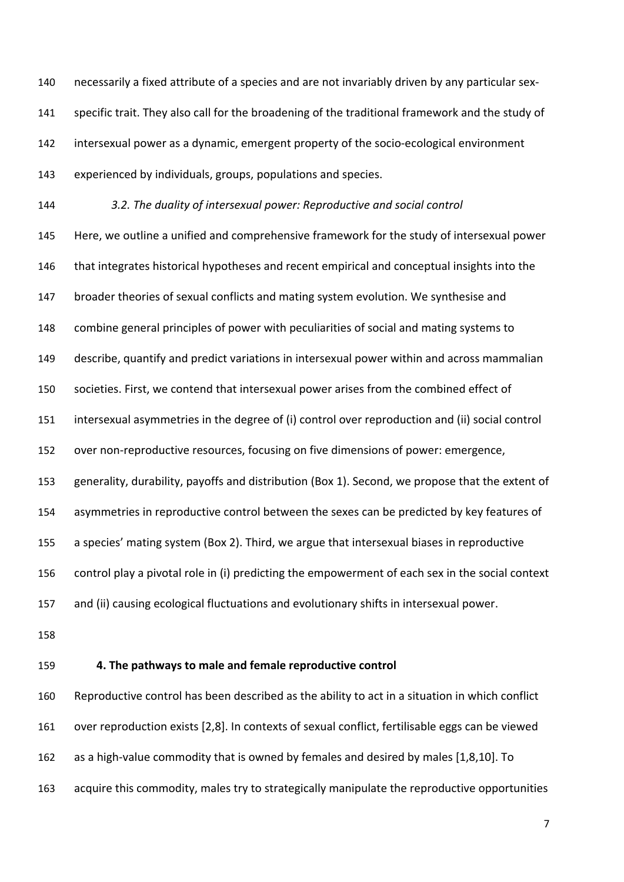necessarily a fixed attribute of a species and are not invariably driven by any particular sex- specific trait. They also call for the broadening of the traditional framework and the study of intersexual power as a dynamic, emergent property of the socio-ecological environment experienced by individuals, groups, populations and species.

 *3.2. The duality of intersexual power: Reproductive and social control* Here, we outline a unified and comprehensive framework for the study of intersexual power 146 that integrates historical hypotheses and recent empirical and conceptual insights into the broader theories of sexual conflicts and mating system evolution. We synthesise and combine general principles of power with peculiarities of social and mating systems to describe, quantify and predict variations in intersexual power within and across mammalian societies. First, we contend that intersexual power arises from the combined effect of intersexual asymmetries in the degree of (i) control over reproduction and (ii) social control over non-reproductive resources, focusing on five dimensions of power: emergence, generality, durability, payoffs and distribution (Box 1). Second, we propose that the extent of asymmetries in reproductive control between the sexes can be predicted by key features of a species' mating system (Box 2). Third, we argue that intersexual biases in reproductive control play a pivotal role in (i) predicting the empowerment of each sex in the social context and (ii) causing ecological fluctuations and evolutionary shifts in intersexual power.

- 
- 

## **4. The pathways to male and female reproductive control**

 Reproductive control has been described as the ability to act in a situation in which conflict over reproduction exists [2,8]. In contexts of sexual conflict, fertilisable eggs can be viewed as a high-value commodity that is owned by females and desired by males [1,8,10]. To acquire this commodity, males try to strategically manipulate the reproductive opportunities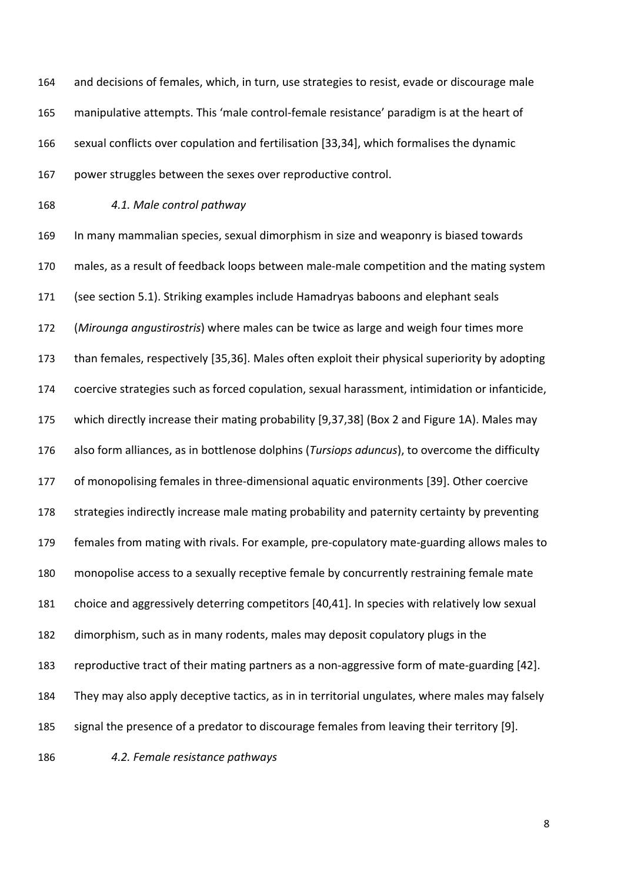and decisions of females, which, in turn, use strategies to resist, evade or discourage male manipulative attempts. This 'male control-female resistance' paradigm is at the heart of sexual conflicts over copulation and fertilisation [33,34], which formalises the dynamic power struggles between the sexes over reproductive control.

*4.1. Male control pathway*

 In many mammalian species, sexual dimorphism in size and weaponry is biased towards males, as a result of feedback loops between male-male competition and the mating system (see section 5.1). Striking examples include Hamadryas baboons and elephant seals (*Mirounga angustirostris*) where males can be twice as large and weigh four times more than females, respectively [35,36]. Males often exploit their physical superiority by adopting coercive strategies such as forced copulation, sexual harassment, intimidation or infanticide, which directly increase their mating probability [9,37,38] (Box 2 and Figure 1A). Males may also form alliances, as in bottlenose dolphins (*Tursiops aduncus*), to overcome the difficulty of monopolising females in three-dimensional aquatic environments [39]. Other coercive strategies indirectly increase male mating probability and paternity certainty by preventing females from mating with rivals. For example, pre-copulatory mate-guarding allows males to monopolise access to a sexually receptive female by concurrently restraining female mate choice and aggressively deterring competitors [40,41]. In species with relatively low sexual dimorphism, such as in many rodents, males may deposit copulatory plugs in the reproductive tract of their mating partners as a non-aggressive form of mate-guarding [42]. They may also apply deceptive tactics, as in in territorial ungulates, where males may falsely signal the presence of a predator to discourage females from leaving their territory [9].

*4.2. Female resistance pathways*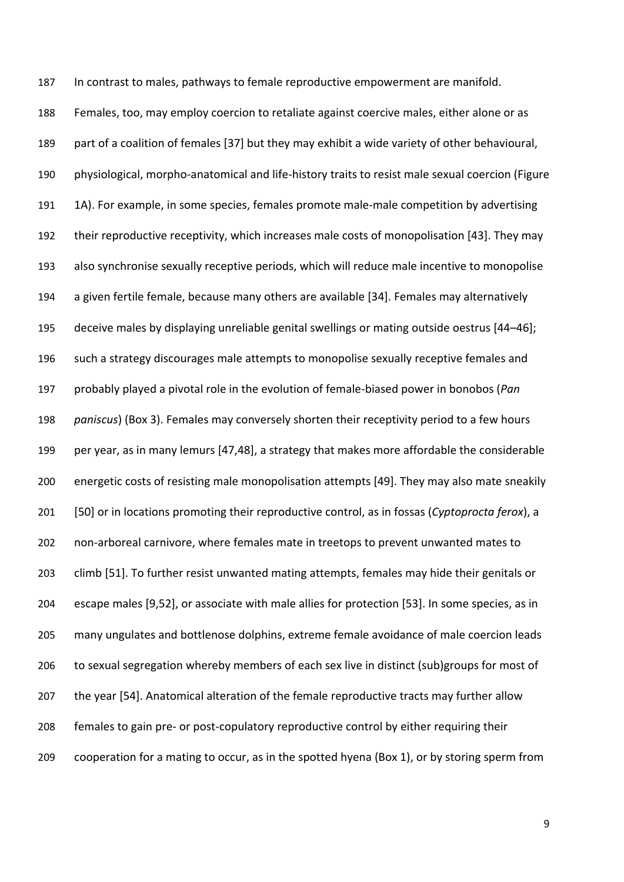In contrast to males, pathways to female reproductive empowerment are manifold. Females, too, may employ coercion to retaliate against coercive males, either alone or as part of a coalition of females [37] but they may exhibit a wide variety of other behavioural, physiological, morpho-anatomical and life-history traits to resist male sexual coercion (Figure 1A). For example, in some species, females promote male-male competition by advertising their reproductive receptivity, which increases male costs of monopolisation [43]. They may also synchronise sexually receptive periods, which will reduce male incentive to monopolise a given fertile female, because many others are available [34]. Females may alternatively deceive males by displaying unreliable genital swellings or mating outside oestrus [44–46]; such a strategy discourages male attempts to monopolise sexually receptive females and probably played a pivotal role in the evolution of female-biased power in bonobos (*Pan paniscus*) (Box 3). Females may conversely shorten their receptivity period to a few hours per year, as in many lemurs [47,48], a strategy that makes more affordable the considerable energetic costs of resisting male monopolisation attempts [49]. They may also mate sneakily [50] or in locations promoting their reproductive control, as in fossas (*Cyptoprocta ferox*), a non-arboreal carnivore, where females mate in treetops to prevent unwanted mates to climb [51]. To further resist unwanted mating attempts, females may hide their genitals or escape males [9,52], or associate with male allies for protection [53]. In some species, as in many ungulates and bottlenose dolphins, extreme female avoidance of male coercion leads to sexual segregation whereby members of each sex live in distinct (sub)groups for most of the year [54]. Anatomical alteration of the female reproductive tracts may further allow females to gain pre- or post-copulatory reproductive control by either requiring their cooperation for a mating to occur, as in the spotted hyena (Box 1), or by storing sperm from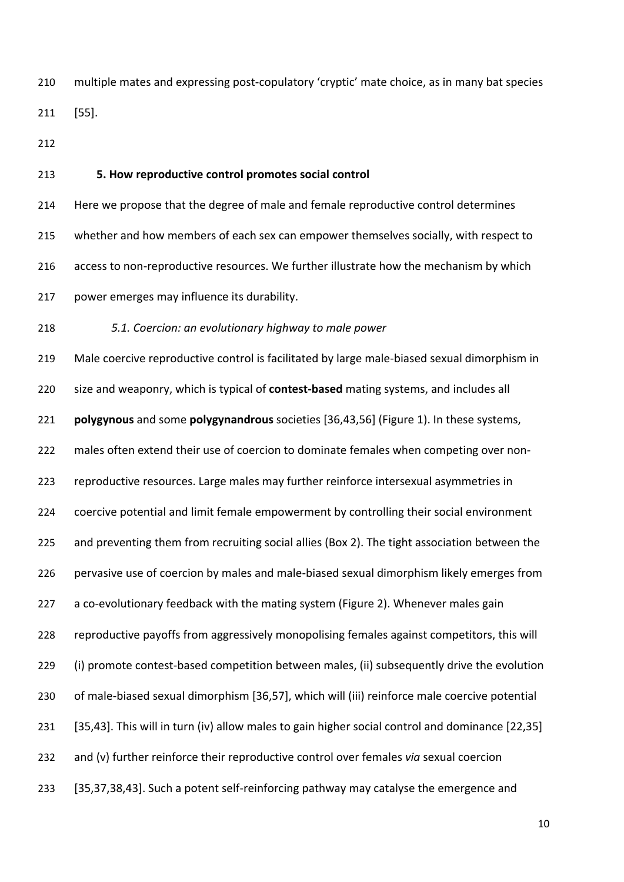multiple mates and expressing post-copulatory 'cryptic' mate choice, as in many bat species [55].

**5. How reproductive control promotes social control**

 Here we propose that the degree of male and female reproductive control determines whether and how members of each sex can empower themselves socially, with respect to access to non-reproductive resources. We further illustrate how the mechanism by which power emerges may influence its durability.

*5.1. Coercion: an evolutionary highway to male power*

 Male coercive reproductive control is facilitated by large male-biased sexual dimorphism in size and weaponry, which is typical of **contest-based** mating systems, and includes all **polygynous** and some **polygynandrous** societies [36,43,56] (Figure 1). In these systems, males often extend their use of coercion to dominate females when competing over non- reproductive resources. Large males may further reinforce intersexual asymmetries in coercive potential and limit female empowerment by controlling their social environment and preventing them from recruiting social allies (Box 2). The tight association between the pervasive use of coercion by males and male-biased sexual dimorphism likely emerges from a co-evolutionary feedback with the mating system (Figure 2). Whenever males gain reproductive payoffs from aggressively monopolising females against competitors, this will (i) promote contest-based competition between males, (ii) subsequently drive the evolution of male-biased sexual dimorphism [36,57], which will (iii) reinforce male coercive potential [35,43]. This will in turn (iv) allow males to gain higher social control and dominance [22,35] and (v) further reinforce their reproductive control over females *via* sexual coercion [35,37,38,43]. Such a potent self-reinforcing pathway may catalyse the emergence and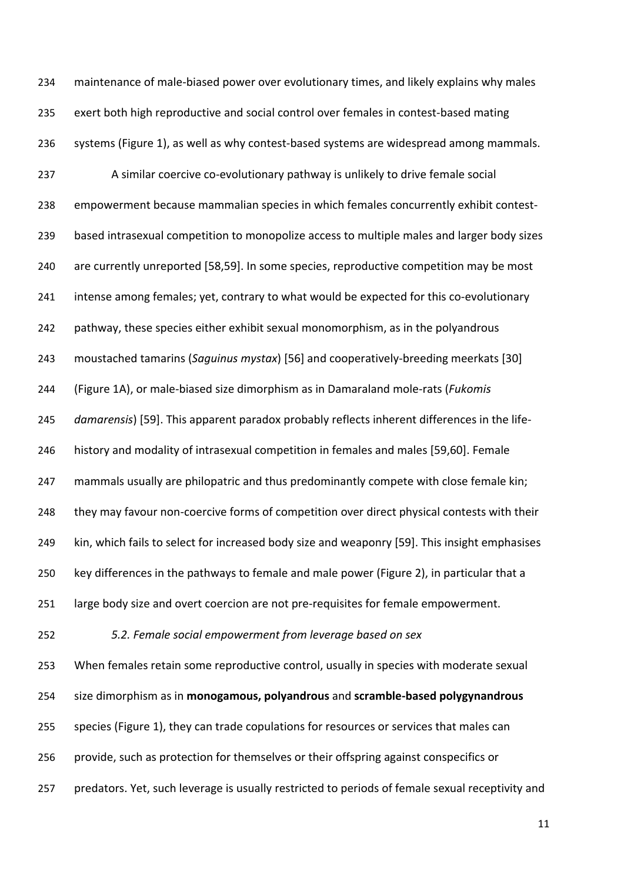maintenance of male-biased power over evolutionary times, and likely explains why males exert both high reproductive and social control over females in contest-based mating systems (Figure 1), as well as why contest-based systems are widespread among mammals. A similar coercive co-evolutionary pathway is unlikely to drive female social empowerment because mammalian species in which females concurrently exhibit contest- based intrasexual competition to monopolize access to multiple males and larger body sizes are currently unreported [58,59]. In some species, reproductive competition may be most intense among females; yet, contrary to what would be expected for this co-evolutionary pathway, these species either exhibit sexual monomorphism, as in the polyandrous moustached tamarins (*Saguinus mystax*) [56] and cooperatively-breeding meerkats [30] (Figure 1A), or male-biased size dimorphism as in Damaraland mole-rats (*Fukomis damarensis*) [59]. This apparent paradox probably reflects inherent differences in the life- history and modality of intrasexual competition in females and males [59,60]. Female mammals usually are philopatric and thus predominantly compete with close female kin; 248 they may favour non-coercive forms of competition over direct physical contests with their kin, which fails to select for increased body size and weaponry [59]. This insight emphasises key differences in the pathways to female and male power (Figure 2), in particular that a large body size and overt coercion are not pre-requisites for female empowerment. *5.2. Female social empowerment from leverage based on sex* When females retain some reproductive control, usually in species with moderate sexual size dimorphism as in **monogamous, polyandrous** and **scramble-based polygynandrous** species (Figure 1), they can trade copulations for resources or services that males can provide, such as protection for themselves or their offspring against conspecifics or predators. Yet, such leverage is usually restricted to periods of female sexual receptivity and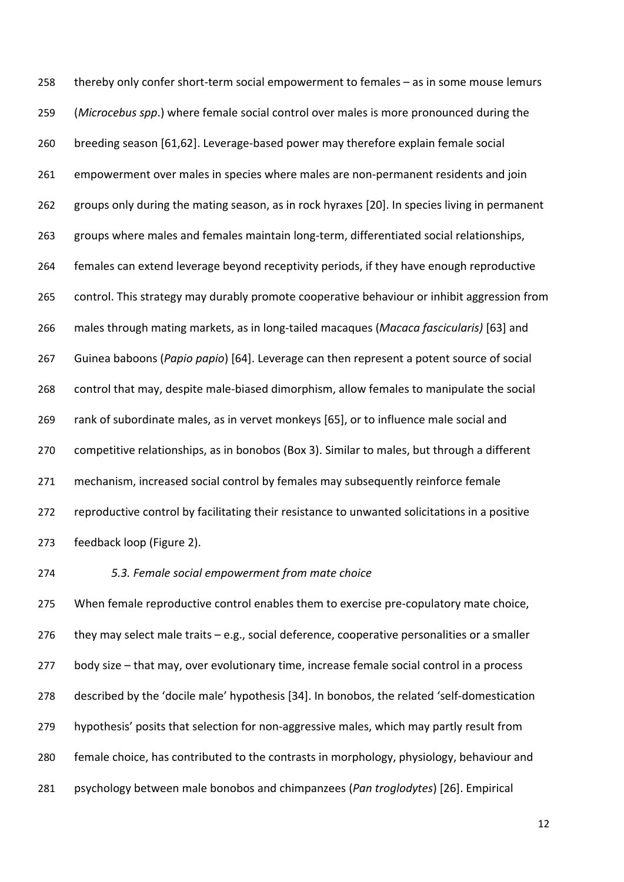thereby only confer short-term social empowerment to females – as in some mouse lemurs (*Microcebus spp*.) where female social control over males is more pronounced during the breeding season [61,62]. Leverage-based power may therefore explain female social empowerment over males in species where males are non-permanent residents and join groups only during the mating season, as in rock hyraxes [20]. In species living in permanent groups where males and females maintain long-term, differentiated social relationships, females can extend leverage beyond receptivity periods, if they have enough reproductive control. This strategy may durably promote cooperative behaviour or inhibit aggression from males through mating markets, as in long-tailed macaques (*Macaca fascicularis)* [63] and Guinea baboons (*Papio papio*) [64]. Leverage can then represent a potent source of social control that may, despite male-biased dimorphism, allow females to manipulate the social rank of subordinate males, as in vervet monkeys [65], or to influence male social and competitive relationships, as in bonobos (Box 3). Similar to males, but through a different mechanism, increased social control by females may subsequently reinforce female reproductive control by facilitating their resistance to unwanted solicitations in a positive feedback loop (Figure 2).

# *5.3. Female social empowerment from mate choice*

 When female reproductive control enables them to exercise pre-copulatory mate choice, 276 they may select male traits  $-$  e.g., social deference, cooperative personalities or a smaller body size – that may, over evolutionary time, increase female social control in a process described by the 'docile male' hypothesis [34]. In bonobos, the related 'self-domestication hypothesis' posits that selection for non-aggressive males, which may partly result from female choice, has contributed to the contrasts in morphology, physiology, behaviour and psychology between male bonobos and chimpanzees (*Pan troglodytes*) [26]. Empirical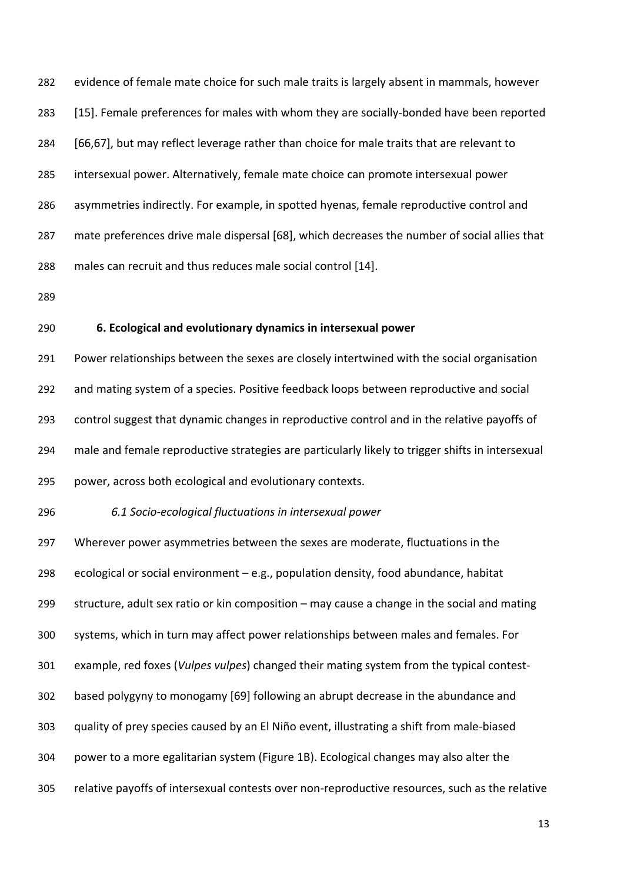evidence of female mate choice for such male traits is largely absent in mammals, however [15]. Female preferences for males with whom they are socially-bonded have been reported [66,67], but may reflect leverage rather than choice for male traits that are relevant to intersexual power. Alternatively, female mate choice can promote intersexual power asymmetries indirectly. For example, in spotted hyenas, female reproductive control and mate preferences drive male dispersal [68], which decreases the number of social allies that males can recruit and thus reduces male social control [14].

- 
- 

# **6. Ecological and evolutionary dynamics in intersexual power**

 Power relationships between the sexes are closely intertwined with the social organisation and mating system of a species. Positive feedback loops between reproductive and social control suggest that dynamic changes in reproductive control and in the relative payoffs of male and female reproductive strategies are particularly likely to trigger shifts in intersexual power, across both ecological and evolutionary contexts.

# *6.1 Socio-ecological fluctuations in intersexual power*

 Wherever power asymmetries between the sexes are moderate, fluctuations in the 298 ecological or social environment  $-e.g.,$  population density, food abundance, habitat structure, adult sex ratio or kin composition – may cause a change in the social and mating systems, which in turn may affect power relationships between males and females. For example, red foxes (*Vulpes vulpes*) changed their mating system from the typical contest- based polygyny to monogamy [69] following an abrupt decrease in the abundance and quality of prey species caused by an El Niño event, illustrating a shift from male-biased power to a more egalitarian system (Figure 1B). Ecological changes may also alter the relative payoffs of intersexual contests over non-reproductive resources, such as the relative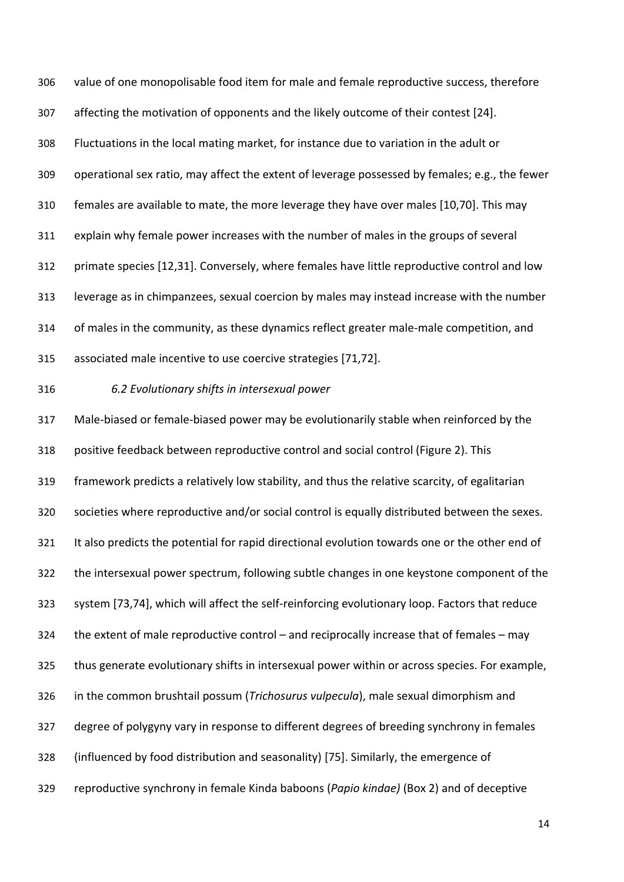value of one monopolisable food item for male and female reproductive success, therefore affecting the motivation of opponents and the likely outcome of their contest [24]. Fluctuations in the local mating market, for instance due to variation in the adult or operational sex ratio, may affect the extent of leverage possessed by females; e.g., the fewer females are available to mate, the more leverage they have over males [10,70]. This may explain why female power increases with the number of males in the groups of several primate species [12,31]. Conversely, where females have little reproductive control and low leverage as in chimpanzees, sexual coercion by males may instead increase with the number of males in the community, as these dynamics reflect greater male-male competition, and associated male incentive to use coercive strategies [71,72].

## *6.2 Evolutionary shifts in intersexual power*

 Male-biased or female-biased power may be evolutionarily stable when reinforced by the positive feedback between reproductive control and social control (Figure 2). This framework predicts a relatively low stability, and thus the relative scarcity, of egalitarian societies where reproductive and/or social control is equally distributed between the sexes. It also predicts the potential for rapid directional evolution towards one or the other end of the intersexual power spectrum, following subtle changes in one keystone component of the system [73,74], which will affect the self-reinforcing evolutionary loop. Factors that reduce the extent of male reproductive control – and reciprocally increase that of females – may thus generate evolutionary shifts in intersexual power within or across species. For example, in the common brushtail possum (*Trichosurus vulpecula*), male sexual dimorphism and degree of polygyny vary in response to different degrees of breeding synchrony in females (influenced by food distribution and seasonality) [75]. Similarly, the emergence of reproductive synchrony in female Kinda baboons (*Papio kindae)* (Box 2) and of deceptive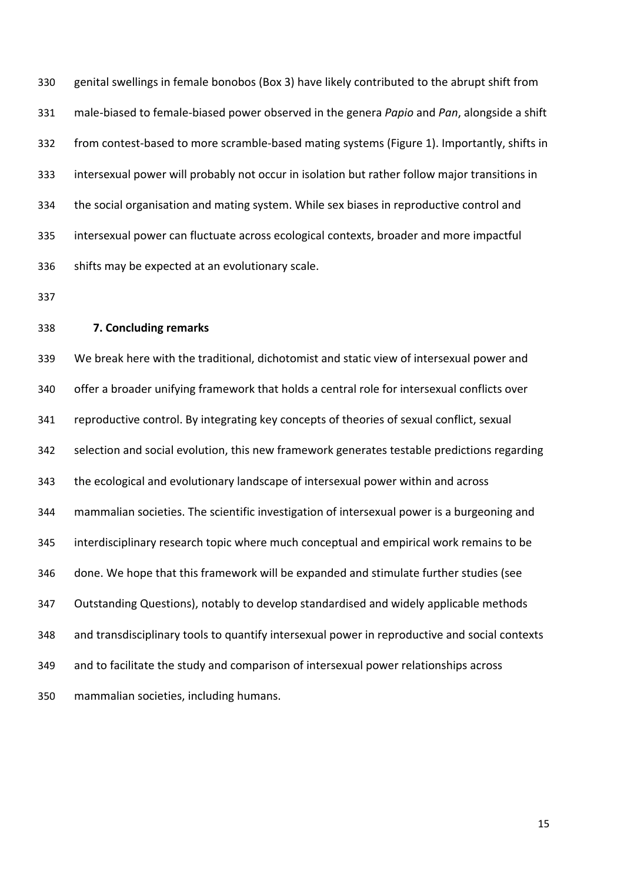genital swellings in female bonobos (Box 3) have likely contributed to the abrupt shift from male-biased to female-biased power observed in the genera *Papio* and *Pan*, alongside a shift from contest-based to more scramble-based mating systems (Figure 1). Importantly, shifts in intersexual power will probably not occur in isolation but rather follow major transitions in the social organisation and mating system. While sex biases in reproductive control and intersexual power can fluctuate across ecological contexts, broader and more impactful shifts may be expected at an evolutionary scale.

### **7. Concluding remarks**

 We break here with the traditional, dichotomist and static view of intersexual power and offer a broader unifying framework that holds a central role for intersexual conflicts over reproductive control. By integrating key concepts of theories of sexual conflict, sexual selection and social evolution, this new framework generates testable predictions regarding the ecological and evolutionary landscape of intersexual power within and across mammalian societies. The scientific investigation of intersexual power is a burgeoning and interdisciplinary research topic where much conceptual and empirical work remains to be done. We hope that this framework will be expanded and stimulate further studies (see Outstanding Questions), notably to develop standardised and widely applicable methods and transdisciplinary tools to quantify intersexual power in reproductive and social contexts and to facilitate the study and comparison of intersexual power relationships across mammalian societies, including humans.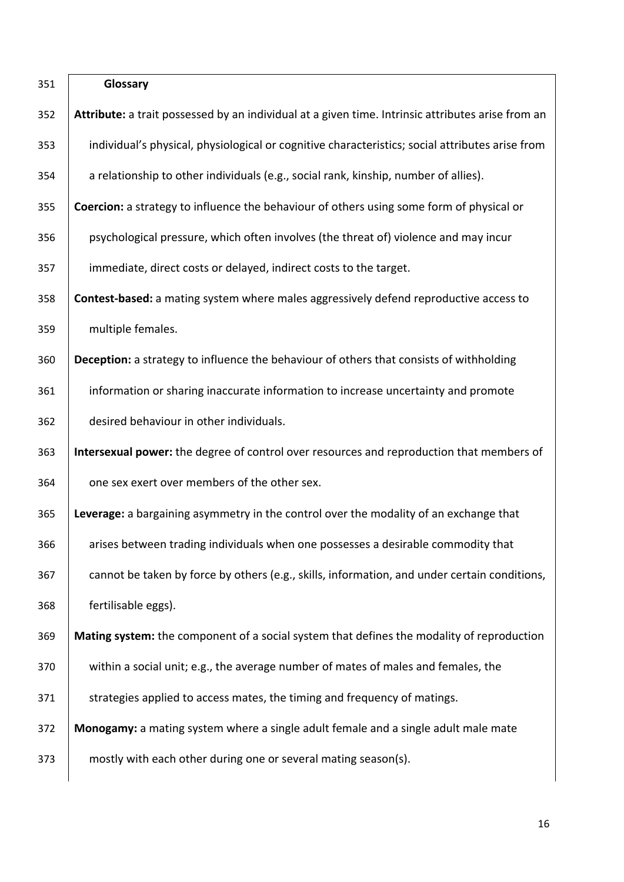| 351 | Glossary                                                                                          |
|-----|---------------------------------------------------------------------------------------------------|
| 352 | Attribute: a trait possessed by an individual at a given time. Intrinsic attributes arise from an |
| 353 | individual's physical, physiological or cognitive characteristics; social attributes arise from   |
| 354 | a relationship to other individuals (e.g., social rank, kinship, number of allies).               |
| 355 | Coercion: a strategy to influence the behaviour of others using some form of physical or          |
| 356 | psychological pressure, which often involves (the threat of) violence and may incur               |
| 357 | immediate, direct costs or delayed, indirect costs to the target.                                 |
| 358 | Contest-based: a mating system where males aggressively defend reproductive access to             |
| 359 | multiple females.                                                                                 |
| 360 | Deception: a strategy to influence the behaviour of others that consists of withholding           |
| 361 | information or sharing inaccurate information to increase uncertainty and promote                 |
| 362 | desired behaviour in other individuals.                                                           |
| 363 | Intersexual power: the degree of control over resources and reproduction that members of          |
| 364 | one sex exert over members of the other sex.                                                      |
| 365 | Leverage: a bargaining asymmetry in the control over the modality of an exchange that             |
| 366 | arises between trading individuals when one possesses a desirable commodity that                  |
| 367 | cannot be taken by force by others (e.g., skills, information, and under certain conditions,      |
| 368 | fertilisable eggs).                                                                               |
| 369 | Mating system: the component of a social system that defines the modality of reproduction         |
| 370 | within a social unit; e.g., the average number of mates of males and females, the                 |
| 371 | strategies applied to access mates, the timing and frequency of matings.                          |
| 372 | Monogamy: a mating system where a single adult female and a single adult male mate                |
| 373 | mostly with each other during one or several mating season(s).                                    |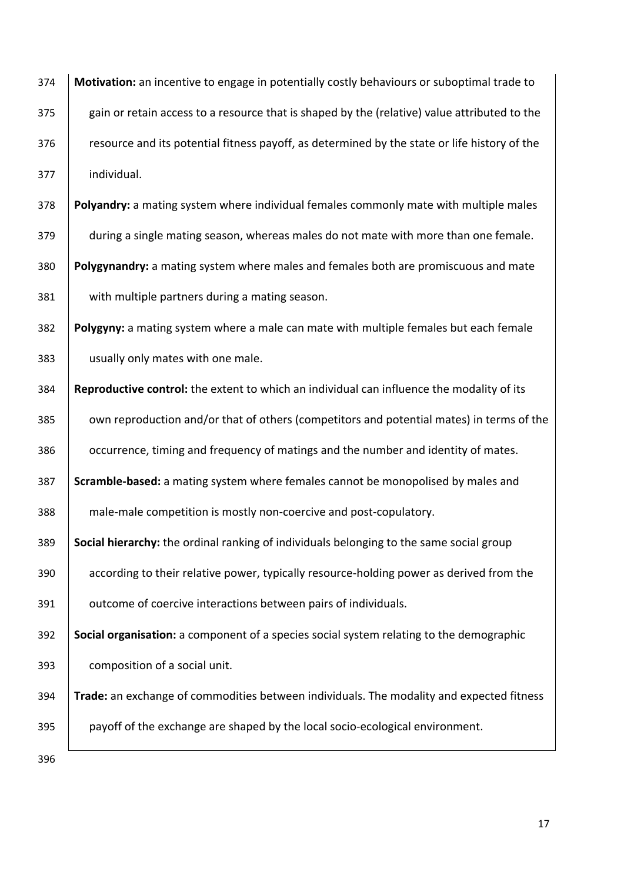**Motivation:** an incentive to engage in potentially costly behaviours or suboptimal trade to 375 gain or retain access to a resource that is shaped by the (relative) value attributed to the **resource and its potential fitness payoff, as determined by the state or life history of the**  individual. **Polyandry:** a mating system where individual females commonly mate with multiple males 379 during a single mating season, whereas males do not mate with more than one female. **Polygynandry:** a mating system where males and females both are promiscuous and mate with multiple partners during a mating season. **Polygyny:** a mating system where a male can mate with multiple females but each female 383 | usually only mates with one male. **Reproductive control:** the extent to which an individual can influence the modality of its 385 own reproduction and/or that of others (competitors and potential mates) in terms of the

**occurrence, timing and frequency of matings and the number and identity of mates. Scramble-based:** a mating system where females cannot be monopolised by males and

male-male competition is mostly non-coercive and post-copulatory.

 **Social hierarchy:** the ordinal ranking of individuals belonging to the same social group according to their relative power, typically resource-holding power as derived from the

391 | outcome of coercive interactions between pairs of individuals.

 **Social organisation:** a component of a species social system relating to the demographic composition of a social unit.

 **Trade:** an exchange of commodities between individuals. The modality and expected fitness 395 payoff of the exchange are shaped by the local socio-ecological environment.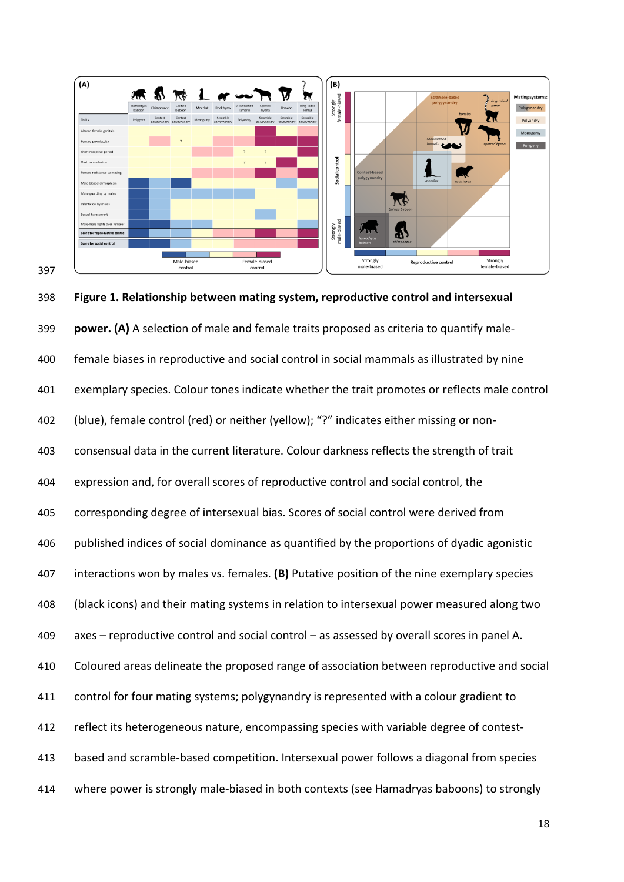

 **Figure 1. Relationship between mating system, reproductive control and intersexual power. (A)** A selection of male and female traits proposed as criteria to quantify male- female biases in reproductive and social control in social mammals as illustrated by nine exemplary species. Colour tones indicate whether the trait promotes or reflects male control (blue), female control (red) or neither (yellow); "?" indicates either missing or non- consensual data in the current literature. Colour darkness reflects the strength of trait expression and, for overall scores of reproductive control and social control, the corresponding degree of intersexual bias. Scores of social control were derived from published indices of social dominance as quantified by the proportions of dyadic agonistic interactions won by males vs. females. **(B)** Putative position of the nine exemplary species (black icons) and their mating systems in relation to intersexual power measured along two axes – reproductive control and social control – as assessed by overall scores in panel A. Coloured areas delineate the proposed range of association between reproductive and social control for four mating systems; polygynandry is represented with a colour gradient to reflect its heterogeneous nature, encompassing species with variable degree of contest- based and scramble-based competition. Intersexual power follows a diagonal from species where power is strongly male-biased in both contexts (see Hamadryas baboons) to strongly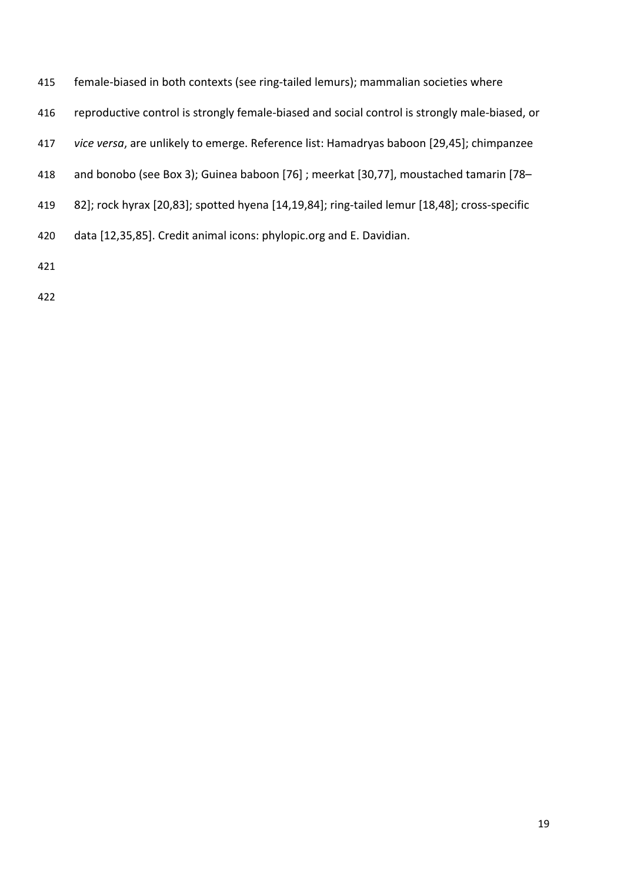- female-biased in both contexts (see ring-tailed lemurs); mammalian societies where
- reproductive control is strongly female-biased and social control is strongly male-biased, or
- *vice versa*, are unlikely to emerge. Reference list: Hamadryas baboon [29,45]; chimpanzee
- and bonobo (see Box 3); Guinea baboon [76] ; meerkat [30,77], moustached tamarin [78–
- 82]; rock hyrax [20,83]; spotted hyena [14,19,84]; ring-tailed lemur [18,48]; cross-specific
- data [12,35,85]. Credit animal icons: phylopic.org and E. Davidian.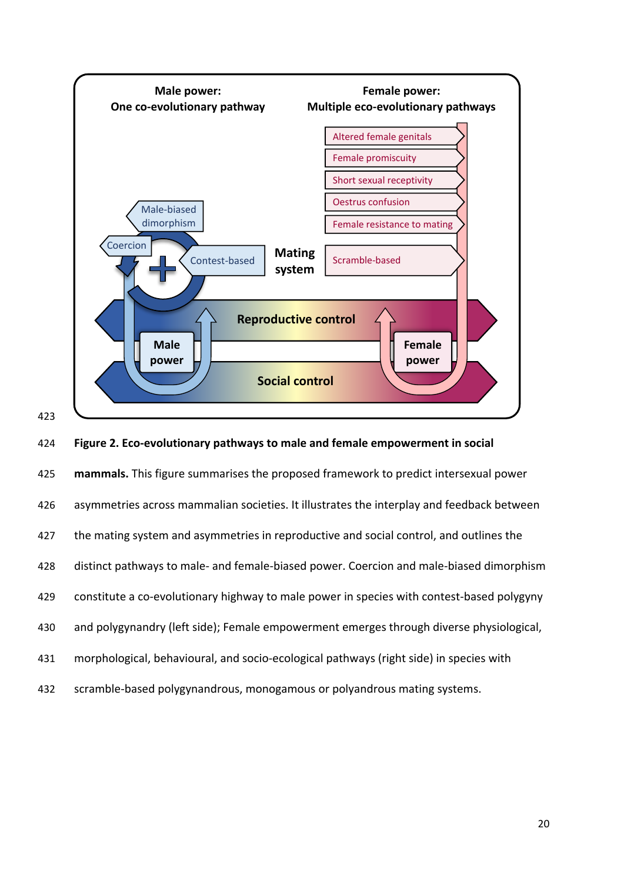

424 **Figure 2. Eco-evolutionary pathways to male and female empowerment in social** 

 **mammals.** This figure summarises the proposed framework to predict intersexual power asymmetries across mammalian societies. It illustrates the interplay and feedback between 427 the mating system and asymmetries in reproductive and social control, and outlines the distinct pathways to male- and female-biased power. Coercion and male-biased dimorphism constitute a co-evolutionary highway to male power in species with contest-based polygyny and polygynandry (left side); Female empowerment emerges through diverse physiological, morphological, behavioural, and socio-ecological pathways (right side) in species with

432 scramble-based polygynandrous, monogamous or polyandrous mating systems.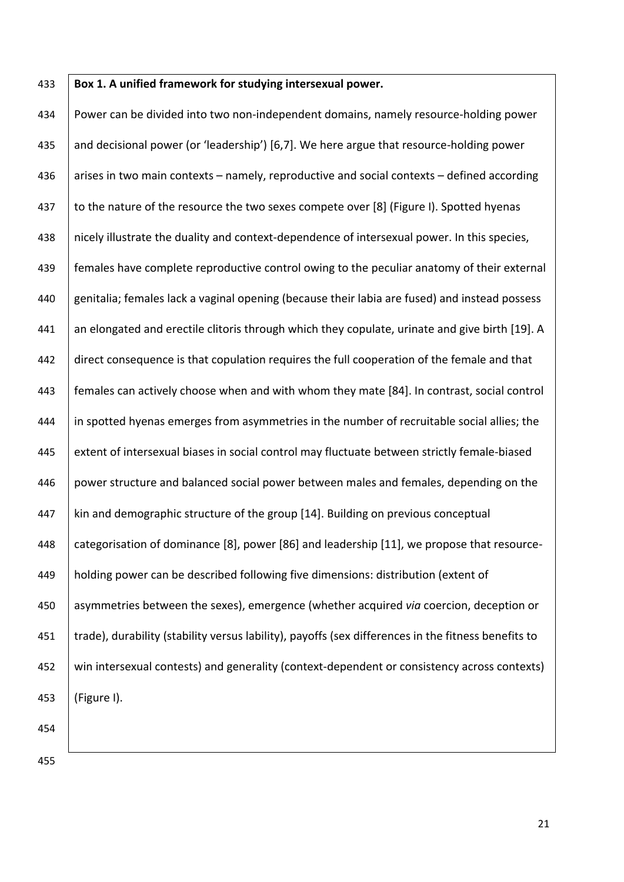### 433 **Box 1. A unified framework for studying intersexual power.**

434 Power can be divided into two non-independent domains, namely resource-holding power 435 and decisional power (or 'leadership') [6,7]. We here argue that resource-holding power 436 arises in two main contexts – namely, reproductive and social contexts – defined according 437 to the nature of the resource the two sexes compete over [8] (Figure I). Spotted hyenas 438 | nicely illustrate the duality and context-dependence of intersexual power. In this species, 439 females have complete reproductive control owing to the peculiar anatomy of their external 440 genitalia; females lack a vaginal opening (because their labia are fused) and instead possess 441 an elongated and erectile clitoris through which they copulate, urinate and give birth [19]. A 442 direct consequence is that copulation requires the full cooperation of the female and that 443 females can actively choose when and with whom they mate [84]. In contrast, social control 444 in spotted hyenas emerges from asymmetries in the number of recruitable social allies; the 445 extent of intersexual biases in social control may fluctuate between strictly female-biased 446 power structure and balanced social power between males and females, depending on the 447 kin and demographic structure of the group  $[14]$ . Building on previous conceptual 448 categorisation of dominance [8], power [86] and leadership [11], we propose that resource-449 holding power can be described following five dimensions: distribution (extent of 450 asymmetries between the sexes), emergence (whether acquired *via* coercion, deception or 451 Trade), durability (stability versus lability), payoffs (sex differences in the fitness benefits to 452 win intersexual contests) and generality (context-dependent or consistency across contexts) 453 (Figure I).

454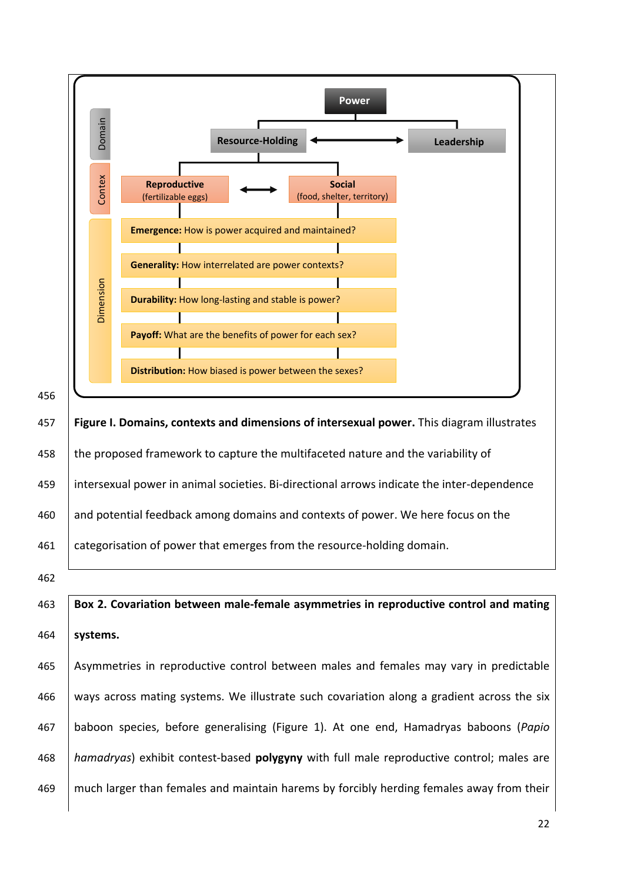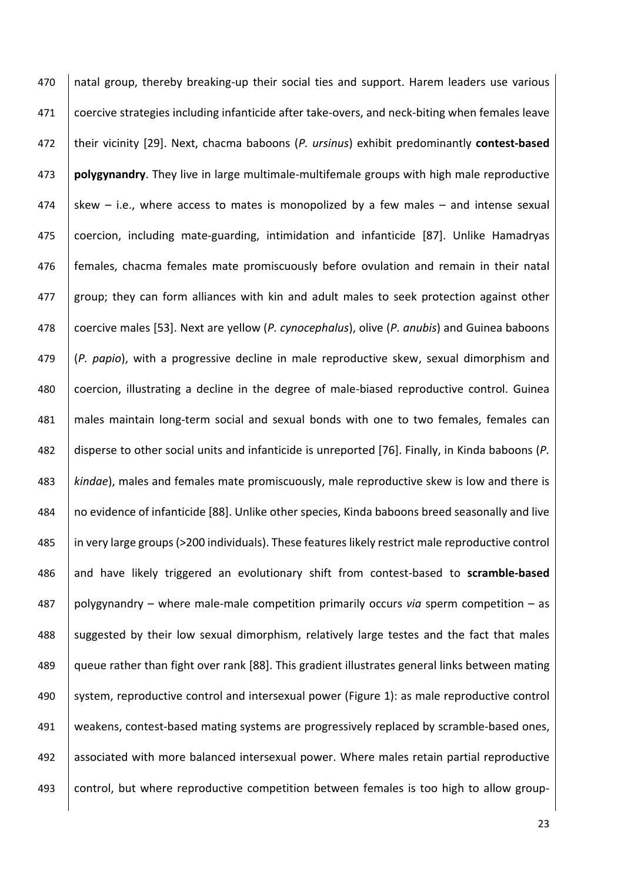470 | natal group, thereby breaking-up their social ties and support. Harem leaders use various 471 coercive strategies including infanticide after take-overs, and neck-biting when females leave 472 their vicinity [29]. Next, chacma baboons (*P. ursinus*) exhibit predominantly **contest-based** 473 **polygynandry**. They live in large multimale-multifemale groups with high male reproductive 474 skew – i.e., where access to mates is monopolized by a few males – and intense sexual 475 coercion, including mate-guarding, intimidation and infanticide [87]. Unlike Hamadryas 476 females, chacma females mate promiscuously before ovulation and remain in their natal 477 group; they can form alliances with kin and adult males to seek protection against other 478 coercive males [53]. Next are yellow (*P. cynocephalus*), olive (*P. anubis*) and Guinea baboons 479 (*P. papio*), with a progressive decline in male reproductive skew, sexual dimorphism and 480 coercion, illustrating a decline in the degree of male-biased reproductive control. Guinea 481 males maintain long-term social and sexual bonds with one to two females, females can 482 disperse to other social units and infanticide is unreported [76]. Finally, in Kinda baboons (*P.*  483 *kindae*), males and females mate promiscuously, male reproductive skew is low and there is 484 | no evidence of infanticide [88]. Unlike other species, Kinda baboons breed seasonally and live 485 in very large groups (>200 individuals). These features likely restrict male reproductive control 486 and have likely triggered an evolutionary shift from contest-based to **scramble-based**  487 polygynandry – where male-male competition primarily occurs *via* sperm competition – as 488 Suggested by their low sexual dimorphism, relatively large testes and the fact that males 489 | queue rather than fight over rank [88]. This gradient illustrates general links between mating 490 system, reproductive control and intersexual power (Figure 1): as male reproductive control 491 weakens, contest-based mating systems are progressively replaced by scramble-based ones, 492 associated with more balanced intersexual power. Where males retain partial reproductive 493 control, but where reproductive competition between females is too high to allow group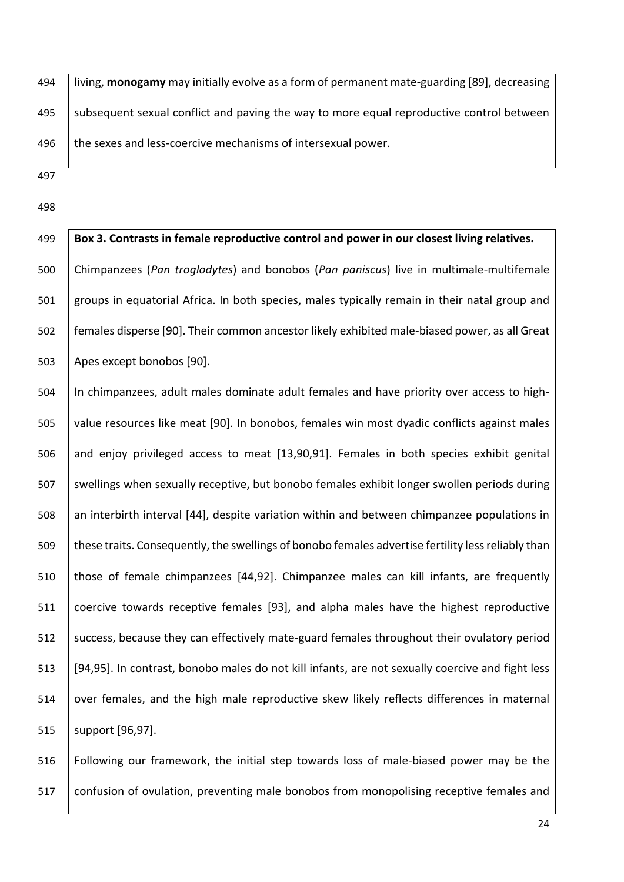494 living, **monogamy** may initially evolve as a form of permanent mate-guarding [89], decreasing 495 subsequent sexual conflict and paving the way to more equal reproductive control between 496  $\parallel$  the sexes and less-coercive mechanisms of intersexual power.

- 497
- 498

 **Box 3. Contrasts in female reproductive control and power in our closest living relatives.** Chimpanzees (*Pan troglodytes*) and bonobos (*Pan paniscus*) live in multimale-multifemale groups in equatorial Africa. In both species, males typically remain in their natal group and females disperse [90]. Their common ancestor likely exhibited male-biased power, as all Great 503 | Apes except bonobos [90].

504 In chimpanzees, adult males dominate adult females and have priority over access to high-505 value resources like meat [90]. In bonobos, females win most dyadic conflicts against males 506 and enjoy privileged access to meat [13,90,91]. Females in both species exhibit genital 507 Swellings when sexually receptive, but bonobo females exhibit longer swollen periods during 508 an interbirth interval [44], despite variation within and between chimpanzee populations in 509 these traits. Consequently, the swellings of bonobo females advertise fertility less reliably than 510 those of female chimpanzees [44,92]. Chimpanzee males can kill infants, are frequently 511 coercive towards receptive females [93], and alpha males have the highest reproductive 512 success, because they can effectively mate-guard females throughout their ovulatory period 513 [94,95]. In contrast, bonobo males do not kill infants, are not sexually coercive and fight less 514 over females, and the high male reproductive skew likely reflects differences in maternal 515 | support [96,97].

516 Following our framework, the initial step towards loss of male-biased power may be the 517 Confusion of ovulation, preventing male bonobos from monopolising receptive females and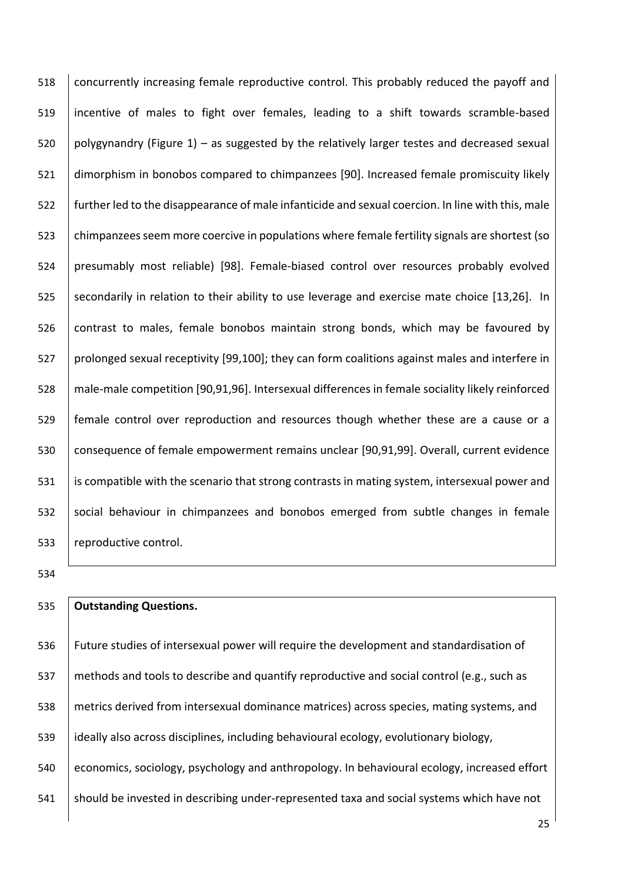518 Concurrently increasing female reproductive control. This probably reduced the payoff and incentive of males to fight over females, leading to a shift towards scramble-based 520 polygynandry (Figure 1) – as suggested by the relatively larger testes and decreased sexual dimorphism in bonobos compared to chimpanzees [90]. Increased female promiscuity likely further led to the disappearance of male infanticide and sexual coercion. In line with this, male chimpanzees seem more coercive in populations where female fertility signals are shortest (so presumably most reliable) [98]. Female-biased control over resources probably evolved 525 Secondarily in relation to their ability to use leverage and exercise mate choice [13,26]. In contrast to males, female bonobos maintain strong bonds, which may be favoured by 527 prolonged sexual receptivity [99,100]; they can form coalitions against males and interfere in male-male competition [90,91,96]. Intersexual differences in female sociality likely reinforced female control over reproduction and resources though whether these are a cause or a 530 consequence of female empowerment remains unclear [90,91,99]. Overall, current evidence 531 | is compatible with the scenario that strong contrasts in mating system, intersexual power and 532 social behaviour in chimpanzees and bonobos emerged from subtle changes in female 533 | reproductive control.

# **Outstanding Questions.**

 Future studies of intersexual power will require the development and standardisation of methods and tools to describe and quantify reproductive and social control (e.g., such as metrics derived from intersexual dominance matrices) across species, mating systems, and ideally also across disciplines, including behavioural ecology, evolutionary biology, economics, sociology, psychology and anthropology. In behavioural ecology, increased effort 541 Should be invested in describing under-represented taxa and social systems which have not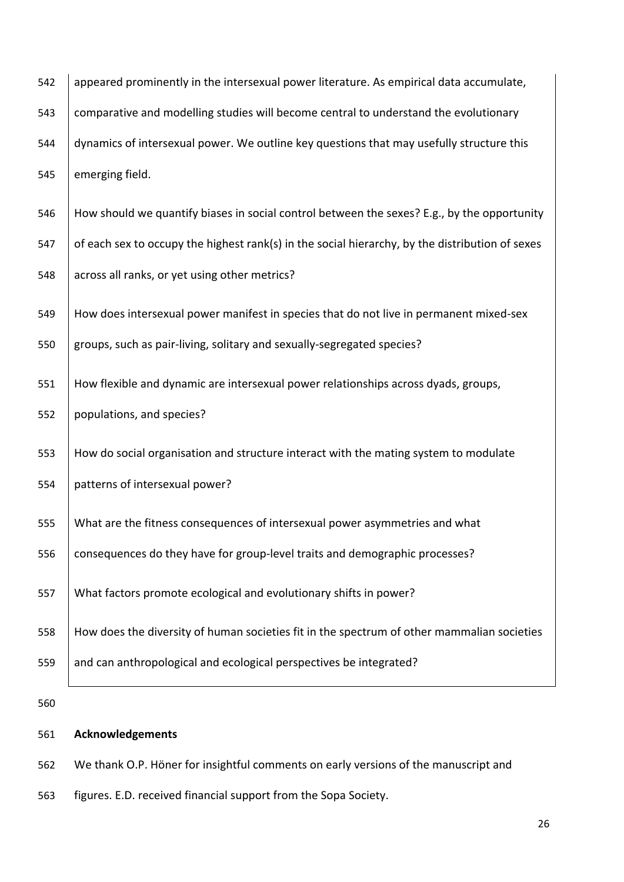| 542 | appeared prominently in the intersexual power literature. As empirical data accumulate,         |
|-----|-------------------------------------------------------------------------------------------------|
| 543 | comparative and modelling studies will become central to understand the evolutionary            |
| 544 | dynamics of intersexual power. We outline key questions that may usefully structure this        |
| 545 | emerging field.                                                                                 |
| 546 | How should we quantify biases in social control between the sexes? E.g., by the opportunity     |
| 547 | of each sex to occupy the highest rank(s) in the social hierarchy, by the distribution of sexes |
| 548 | across all ranks, or yet using other metrics?                                                   |
| 549 | How does intersexual power manifest in species that do not live in permanent mixed-sex          |
| 550 | groups, such as pair-living, solitary and sexually-segregated species?                          |
| 551 | How flexible and dynamic are intersexual power relationships across dyads, groups,              |
| 552 | populations, and species?                                                                       |
| 553 | How do social organisation and structure interact with the mating system to modulate            |
| 554 | patterns of intersexual power?                                                                  |
| 555 | What are the fitness consequences of intersexual power asymmetries and what                     |
| 556 | consequences do they have for group-level traits and demographic processes?                     |
| 557 | What factors promote ecological and evolutionary shifts in power?                               |
| 558 | How does the diversity of human societies fit in the spectrum of other mammalian societies      |
| 559 | and can anthropological and ecological perspectives be integrated?                              |
| 560 |                                                                                                 |
| 561 | <b>Acknowledgements</b>                                                                         |

562 We thank O.P. Höner for insightful comments on early versions of the manuscript and

563 figures. E.D. received financial support from the Sopa Society.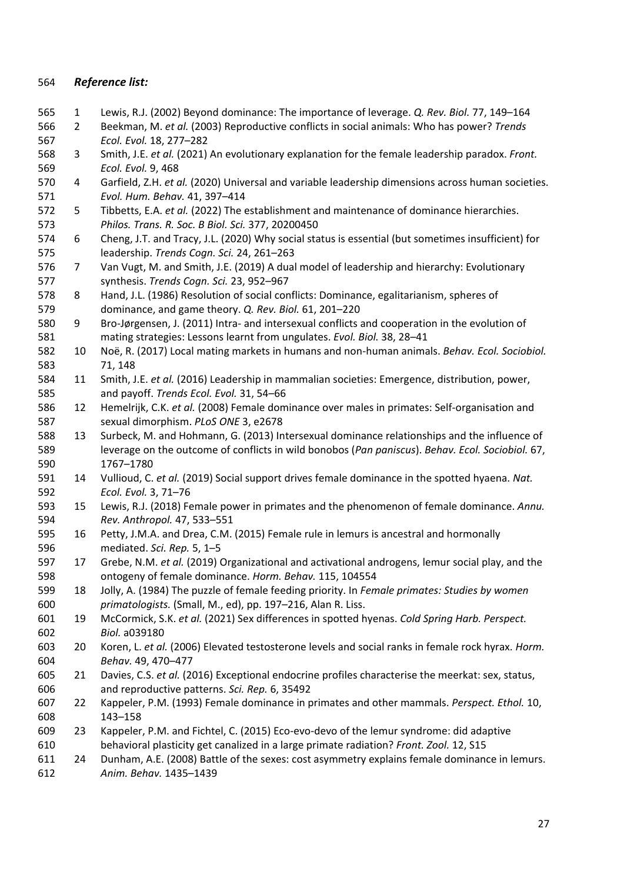# *Reference list:*

- 1 Lewis, R.J. (2002) Beyond dominance: The importance of leverage. *Q. Rev. Biol.* 77, 149–164
- 2 Beekman, M. *et al.* (2003) Reproductive conflicts in social animals: Who has power? *Trends Ecol. Evol.* 18, 277–282
- 3 Smith, J.E. *et al.* (2021) An evolutionary explanation for the female leadership paradox. *Front. Ecol. Evol.* 9, 468
- 4 Garfield, Z.H. *et al.* (2020) Universal and variable leadership dimensions across human societies. *Evol. Hum. Behav.* 41, 397–414
- 5 Tibbetts, E.A. *et al.* (2022) The establishment and maintenance of dominance hierarchies. *Philos. Trans. R. Soc. B Biol. Sci.* 377, 20200450
- 6 Cheng, J.T. and Tracy, J.L. (2020) Why social status is essential (but sometimes insufficient) for leadership. *Trends Cogn. Sci.* 24, 261–263
- 7 Van Vugt, M. and Smith, J.E. (2019) A dual model of leadership and hierarchy: Evolutionary synthesis. *Trends Cogn. Sci.* 23, 952–967
- 8 Hand, J.L. (1986) Resolution of social conflicts: Dominance, egalitarianism, spheres of dominance, and game theory. *Q. Rev. Biol.* 61, 201–220
- 9 Bro-Jørgensen, J. (2011) Intra- and intersexual conflicts and cooperation in the evolution of mating strategies: Lessons learnt from ungulates. *Evol. Biol.* 38, 28–41
- 10 Noë, R. (2017) Local mating markets in humans and non-human animals. *Behav. Ecol. Sociobiol.* 71, 148
- 11 Smith, J.E. *et al.* (2016) Leadership in mammalian societies: Emergence, distribution, power, and payoff. *Trends Ecol. Evol.* 31, 54–66
- 12 Hemelrijk, C.K. *et al.* (2008) Female dominance over males in primates: Self-organisation and sexual dimorphism. *PLoS ONE* 3, e2678
- 13 Surbeck, M. and Hohmann, G. (2013) Intersexual dominance relationships and the influence of leverage on the outcome of conflicts in wild bonobos (*Pan paniscus*). *Behav. Ecol. Sociobiol.* 67, 1767–1780
- 14 Vullioud, C. *et al.* (2019) Social support drives female dominance in the spotted hyaena. *Nat. Ecol. Evol.* 3, 71–76
- 15 Lewis, R.J. (2018) Female power in primates and the phenomenon of female dominance. *Annu. Rev. Anthropol.* 47, 533–551
- 16 Petty, J.M.A. and Drea, C.M. (2015) Female rule in lemurs is ancestral and hormonally mediated. *Sci. Rep.* 5, 1–5
- 17 Grebe, N.M. *et al.* (2019) Organizational and activational androgens, lemur social play, and the ontogeny of female dominance. *Horm. Behav.* 115, 104554
- 18 Jolly, A. (1984) The puzzle of female feeding priority. In *Female primates: Studies by women primatologists.* (Small, M., ed), pp. 197–216, Alan R. Liss.
- 19 McCormick, S.K. *et al.* (2021) Sex differences in spotted hyenas. *Cold Spring Harb. Perspect. Biol.* a039180
- 20 Koren, L. *et al.* (2006) Elevated testosterone levels and social ranks in female rock hyrax. *Horm. Behav.* 49, 470–477
- 21 Davies, C.S. *et al.* (2016) Exceptional endocrine profiles characterise the meerkat: sex, status, and reproductive patterns. *Sci. Rep.* 6, 35492
- 22 Kappeler, P.M. (1993) Female dominance in primates and other mammals. *Perspect. Ethol.* 10, 143–158
- 23 Kappeler, P.M. and Fichtel, C. (2015) Eco-evo-devo of the lemur syndrome: did adaptive behavioral plasticity get canalized in a large primate radiation? *Front. Zool.* 12, S15
- 24 Dunham, A.E. (2008) Battle of the sexes: cost asymmetry explains female dominance in lemurs. *Anim. Behav.* 1435–1439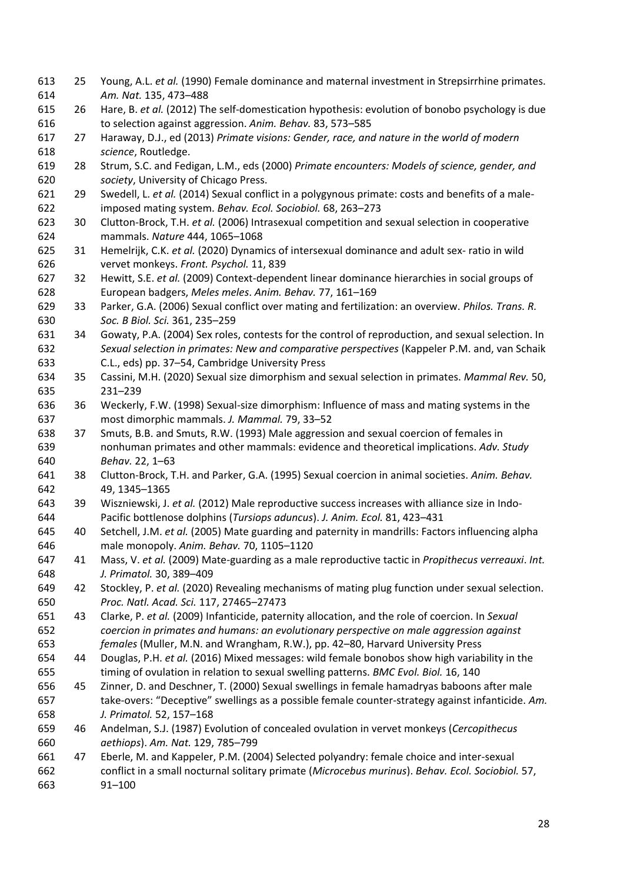25 Young, A.L. *et al.* (1990) Female dominance and maternal investment in Strepsirrhine primates. *Am. Nat.* 135, 473–488 26 Hare, B. *et al.* (2012) The self-domestication hypothesis: evolution of bonobo psychology is due to selection against aggression. *Anim. Behav.* 83, 573–585 27 Haraway, D.J., ed (2013) *Primate visions: Gender, race, and nature in the world of modern science*, Routledge. 28 Strum, S.C. and Fedigan, L.M., eds (2000) *Primate encounters: Models of science, gender, and society*, University of Chicago Press. 29 Swedell, L. *et al.* (2014) Sexual conflict in a polygynous primate: costs and benefits of a male- imposed mating system. *Behav. Ecol. Sociobiol.* 68, 263–273 30 Clutton-Brock, T.H. *et al.* (2006) Intrasexual competition and sexual selection in cooperative mammals. *Nature* 444, 1065–1068 31 Hemelrijk, C.K. *et al.* (2020) Dynamics of intersexual dominance and adult sex- ratio in wild vervet monkeys. *Front. Psychol.* 11, 839 32 Hewitt, S.E. *et al.* (2009) Context-dependent linear dominance hierarchies in social groups of European badgers, *Meles meles*. *Anim. Behav.* 77, 161–169 33 Parker, G.A. (2006) Sexual conflict over mating and fertilization: an overview. *Philos. Trans. R. Soc. B Biol. Sci.* 361, 235–259 34 Gowaty, P.A. (2004) Sex roles, contests for the control of reproduction, and sexual selection. In *Sexual selection in primates: New and comparative perspectives* (Kappeler P.M. and, van Schaik C.L., eds) pp. 37–54, Cambridge University Press 35 Cassini, M.H. (2020) Sexual size dimorphism and sexual selection in primates. *Mammal Rev.* 50, 231–239 36 Weckerly, F.W. (1998) Sexual-size dimorphism: Influence of mass and mating systems in the most dimorphic mammals. *J. Mammal.* 79, 33–52 37 Smuts, B.B. and Smuts, R.W. (1993) Male aggression and sexual coercion of females in nonhuman primates and other mammals: evidence and theoretical implications. *Adv. Study Behav.* 22, 1–63 38 Clutton-Brock, T.H. and Parker, G.A. (1995) Sexual coercion in animal societies. *Anim. Behav.* 49, 1345–1365 39 Wiszniewski, J. *et al.* (2012) Male reproductive success increases with alliance size in Indo- Pacific bottlenose dolphins (*Tursiops aduncus*). *J. Anim. Ecol.* 81, 423–431 40 Setchell, J.M. *et al.* (2005) Mate guarding and paternity in mandrills: Factors influencing alpha male monopoly. *Anim. Behav.* 70, 1105–1120 41 Mass, V. *et al.* (2009) Mate-guarding as a male reproductive tactic in *Propithecus verreauxi*. *Int. J. Primatol.* 30, 389–409 42 Stockley, P. *et al.* (2020) Revealing mechanisms of mating plug function under sexual selection. *Proc. Natl. Acad. Sci.* 117, 27465–27473 43 Clarke, P. *et al.* (2009) Infanticide, paternity allocation, and the role of coercion. In *Sexual coercion in primates and humans: an evolutionary perspective on male aggression against females* (Muller, M.N. and Wrangham, R.W.), pp. 42–80, Harvard University Press 44 Douglas, P.H. *et al.* (2016) Mixed messages: wild female bonobos show high variability in the timing of ovulation in relation to sexual swelling patterns. *BMC Evol. Biol.* 16, 140 45 Zinner, D. and Deschner, T. (2000) Sexual swellings in female hamadryas baboons after male take-overs: "Deceptive" swellings as a possible female counter-strategy against infanticide. *Am. J. Primatol.* 52, 157–168 46 Andelman, S.J. (1987) Evolution of concealed ovulation in vervet monkeys (*Cercopithecus aethiops*). *Am. Nat.* 129, 785–799 47 Eberle, M. and Kappeler, P.M. (2004) Selected polyandry: female choice and inter-sexual conflict in a small nocturnal solitary primate (*Microcebus murinus*). *Behav. Ecol. Sociobiol.* 57, 91–100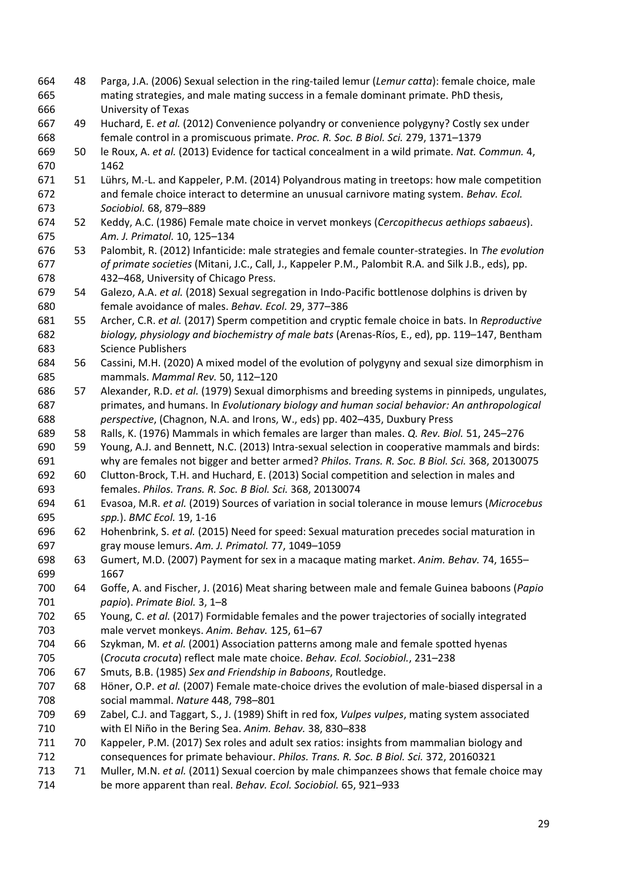48 Parga, J.A. (2006) Sexual selection in the ring-tailed lemur (*Lemur catta*): female choice, male mating strategies, and male mating success in a female dominant primate. PhD thesis, University of Texas 49 Huchard, E. *et al.* (2012) Convenience polyandry or convenience polygyny? Costly sex under female control in a promiscuous primate. *Proc. R. Soc. B Biol. Sci.* 279, 1371–1379 50 le Roux, A. *et al.* (2013) Evidence for tactical concealment in a wild primate. *Nat. Commun.* 4, 1462 51 Lührs, M.-L. and Kappeler, P.M. (2014) Polyandrous mating in treetops: how male competition and female choice interact to determine an unusual carnivore mating system. *Behav. Ecol. Sociobiol.* 68, 879–889 52 Keddy, A.C. (1986) Female mate choice in vervet monkeys (*Cercopithecus aethiops sabaeus*). *Am. J. Primatol.* 10, 125–134 53 Palombit, R. (2012) Infanticide: male strategies and female counter-strategies. In *The evolution of primate societies* (Mitani, J.C., Call, J., Kappeler P.M., Palombit R.A. and Silk J.B., eds), pp. 432–468, University of Chicago Press. 54 Galezo, A.A. *et al.* (2018) Sexual segregation in Indo-Pacific bottlenose dolphins is driven by female avoidance of males. *Behav. Ecol.* 29, 377–386 55 Archer, C.R. *et al.* (2017) Sperm competition and cryptic female choice in bats. In *Reproductive biology, physiology and biochemistry of male bats* (Arenas-Ríos, E., ed), pp. 119–147, Bentham Science Publishers 56 Cassini, M.H. (2020) A mixed model of the evolution of polygyny and sexual size dimorphism in mammals. *Mammal Rev.* 50, 112–120 57 Alexander, R.D. *et al.* (1979) Sexual dimorphisms and breeding systems in pinnipeds, ungulates, primates, and humans. In *Evolutionary biology and human social behavior: An anthropological perspective*, (Chagnon, N.A. and Irons, W., eds) pp. 402–435, Duxbury Press 58 Ralls, K. (1976) Mammals in which females are larger than males. *Q. Rev. Biol.* 51, 245–276 59 Young, A.J. and Bennett, N.C. (2013) Intra-sexual selection in cooperative mammals and birds: why are females not bigger and better armed? *Philos. Trans. R. Soc. B Biol. Sci.* 368, 20130075 60 Clutton-Brock, T.H. and Huchard, E. (2013) Social competition and selection in males and females. *Philos. Trans. R. Soc. B Biol. Sci.* 368, 20130074 61 Evasoa, M.R. *et al.* (2019) Sources of variation in social tolerance in mouse lemurs (*Microcebus spp.*). *BMC Ecol.* 19, 1-16 62 Hohenbrink, S. *et al.* (2015) Need for speed: Sexual maturation precedes social maturation in gray mouse lemurs. *Am. J. Primatol.* 77, 1049–1059 63 Gumert, M.D. (2007) Payment for sex in a macaque mating market. *Anim. Behav.* 74, 1655– 1667 64 Goffe, A. and Fischer, J. (2016) Meat sharing between male and female Guinea baboons (*Papio papio*). *Primate Biol.* 3, 1–8 65 Young, C. *et al.* (2017) Formidable females and the power trajectories of socially integrated male vervet monkeys. *Anim. Behav.* 125, 61–67 66 Szykman, M. *et al.* (2001) Association patterns among male and female spotted hyenas (*Crocuta crocuta*) reflect male mate choice. *Behav. Ecol. Sociobiol.*, 231–238 67 Smuts, B.B. (1985) *Sex and Friendship in Baboons*, Routledge. 68 Höner, O.P. *et al.* (2007) Female mate-choice drives the evolution of male-biased dispersal in a social mammal. *Nature* 448, 798–801 69 Zabel, C.J. and Taggart, S., J. (1989) Shift in red fox, *Vulpes vulpes*, mating system associated with El Niño in the Bering Sea. *Anim. Behav.* 38, 830–838 70 Kappeler, P.M. (2017) Sex roles and adult sex ratios: insights from mammalian biology and consequences for primate behaviour. *Philos. Trans. R. Soc. B Biol. Sci.* 372, 20160321 71 Muller, M.N. *et al.* (2011) Sexual coercion by male chimpanzees shows that female choice may be more apparent than real. *Behav. Ecol. Sociobiol.* 65, 921–933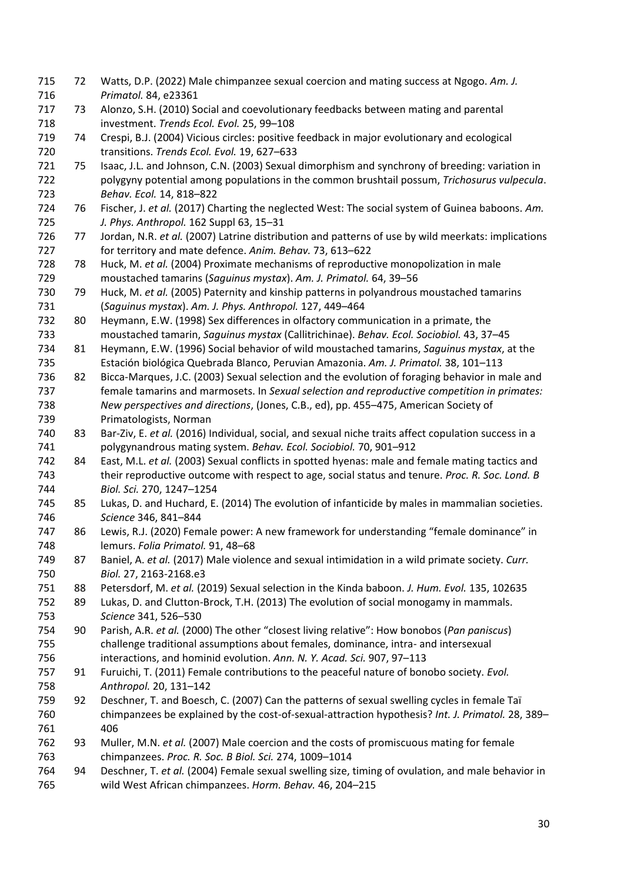72 Watts, D.P. (2022) Male chimpanzee sexual coercion and mating success at Ngogo. *Am. J. Primatol.* 84, e23361 73 Alonzo, S.H. (2010) Social and coevolutionary feedbacks between mating and parental investment. *Trends Ecol. Evol.* 25, 99–108 74 Crespi, B.J. (2004) Vicious circles: positive feedback in major evolutionary and ecological transitions. *Trends Ecol. Evol.* 19, 627–633 75 Isaac, J.L. and Johnson, C.N. (2003) Sexual dimorphism and synchrony of breeding: variation in polygyny potential among populations in the common brushtail possum, *Trichosurus vulpecula*. *Behav. Ecol.* 14, 818–822 76 Fischer, J. *et al.* (2017) Charting the neglected West: The social system of Guinea baboons. *Am. J. Phys. Anthropol.* 162 Suppl 63, 15–31 77 Jordan, N.R. *et al.* (2007) Latrine distribution and patterns of use by wild meerkats: implications for territory and mate defence. *Anim. Behav.* 73, 613–622 78 Huck, M. *et al.* (2004) Proximate mechanisms of reproductive monopolization in male moustached tamarins (*Saguinus mystax*). *Am. J. Primatol.* 64, 39–56 79 Huck, M. *et al.* (2005) Paternity and kinship patterns in polyandrous moustached tamarins (*Saguinus mystax*). *Am. J. Phys. Anthropol.* 127, 449–464 80 Heymann, E.W. (1998) Sex differences in olfactory communication in a primate, the moustached tamarin, *Saguinus mystax* (Callitrichinae). *Behav. Ecol. Sociobiol.* 43, 37–45 81 Heymann, E.W. (1996) Social behavior of wild moustached tamarins, *Saguinus mystax*, at the Estación biológica Quebrada Blanco, Peruvian Amazonia. *Am. J. Primatol.* 38, 101–113 82 Bicca-Marques, J.C. (2003) Sexual selection and the evolution of foraging behavior in male and female tamarins and marmosets. In *Sexual selection and reproductive competition in primates: New perspectives and directions*, (Jones, C.B., ed), pp. 455–475, American Society of Primatologists, Norman 83 Bar-Ziv, E. *et al.* (2016) Individual, social, and sexual niche traits affect copulation success in a polygynandrous mating system. *Behav. Ecol. Sociobiol.* 70, 901–912 84 East, M.L. *et al.* (2003) Sexual conflicts in spotted hyenas: male and female mating tactics and their reproductive outcome with respect to age, social status and tenure. *Proc. R. Soc. Lond. B Biol. Sci.* 270, 1247–1254 85 Lukas, D. and Huchard, E. (2014) The evolution of infanticide by males in mammalian societies. *Science* 346, 841–844 86 Lewis, R.J. (2020) Female power: A new framework for understanding "female dominance" in lemurs. *Folia Primatol.* 91, 48–68 87 Baniel, A. *et al.* (2017) Male violence and sexual intimidation in a wild primate society. *Curr. Biol.* 27, 2163-2168.e3 88 Petersdorf, M. *et al.* (2019) Sexual selection in the Kinda baboon. *J. Hum. Evol.* 135, 102635 89 Lukas, D. and Clutton-Brock, T.H. (2013) The evolution of social monogamy in mammals. *Science* 341, 526–530 90 Parish, A.R. *et al.* (2000) The other "closest living relative": How bonobos (*Pan paniscus*) challenge traditional assumptions about females, dominance, intra- and intersexual interactions, and hominid evolution. *Ann. N. Y. Acad. Sci.* 907, 97–113 91 Furuichi, T. (2011) Female contributions to the peaceful nature of bonobo society. *Evol. Anthropol.* 20, 131–142 92 Deschner, T. and Boesch, C. (2007) Can the patterns of sexual swelling cycles in female Taï chimpanzees be explained by the cost-of-sexual-attraction hypothesis? *Int. J. Primatol.* 28, 389– 406 93 Muller, M.N. *et al.* (2007) Male coercion and the costs of promiscuous mating for female chimpanzees. *Proc. R. Soc. B Biol. Sci.* 274, 1009–1014 94 Deschner, T. *et al.* (2004) Female sexual swelling size, timing of ovulation, and male behavior in wild West African chimpanzees. *Horm. Behav.* 46, 204–215